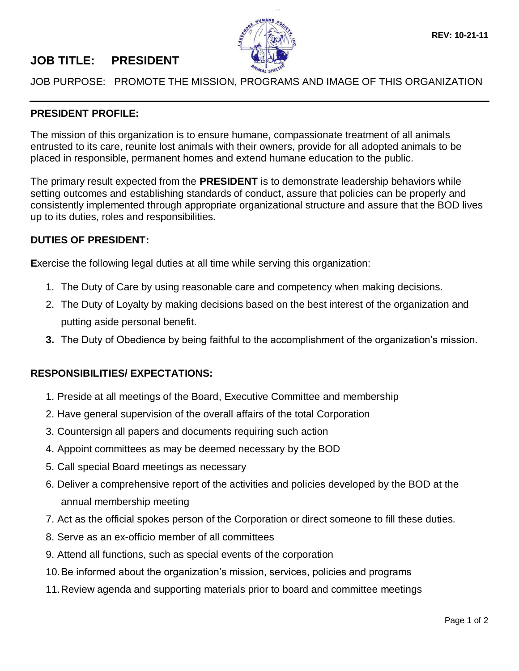## **JOB TITLE: PRESIDENT**



JOB PURPOSE: PROMOTE THE MISSION, PROGRAMS AND IMAGE OF THIS ORGANIZATION

## **PRESIDENT PROFILE:**

The mission of this organization is to ensure humane, compassionate treatment of all animals entrusted to its care, reunite lost animals with their owners, provide for all adopted animals to be placed in responsible, permanent homes and extend humane education to the public.

The primary result expected from the **PRESIDENT** is to demonstrate leadership behaviors while setting outcomes and establishing standards of conduct, assure that policies can be properly and consistently implemented through appropriate organizational structure and assure that the BOD lives up to its duties, roles and responsibilities.

## **DUTIES OF PRESIDENT:**

**E**xercise the following legal duties at all time while serving this organization:

- 1. The Duty of Care by using reasonable care and competency when making decisions.
- 2. The Duty of Loyalty by making decisions based on the best interest of the organization and putting aside personal benefit.
- **3.** The Duty of Obedience by being faithful to the accomplishment of the organization's mission.

## **RESPONSIBILITIES/ EXPECTATIONS:**

- 1. Preside at all meetings of the Board, Executive Committee and membership
- 2. Have general supervision of the overall affairs of the total Corporation
- 3. Countersign all papers and documents requiring such action
- 4. Appoint committees as may be deemed necessary by the BOD
- 5. Call special Board meetings as necessary
- 6. Deliver a comprehensive report of the activities and policies developed by the BOD at the annual membership meeting
- 7. Act as the official spokes person of the Corporation or direct someone to fill these duties.
- 8. Serve as an ex-officio member of all committees
- 9. Attend all functions, such as special events of the corporation
- 10.Be informed about the organization's mission, services, policies and programs
- 11.Review agenda and supporting materials prior to board and committee meetings